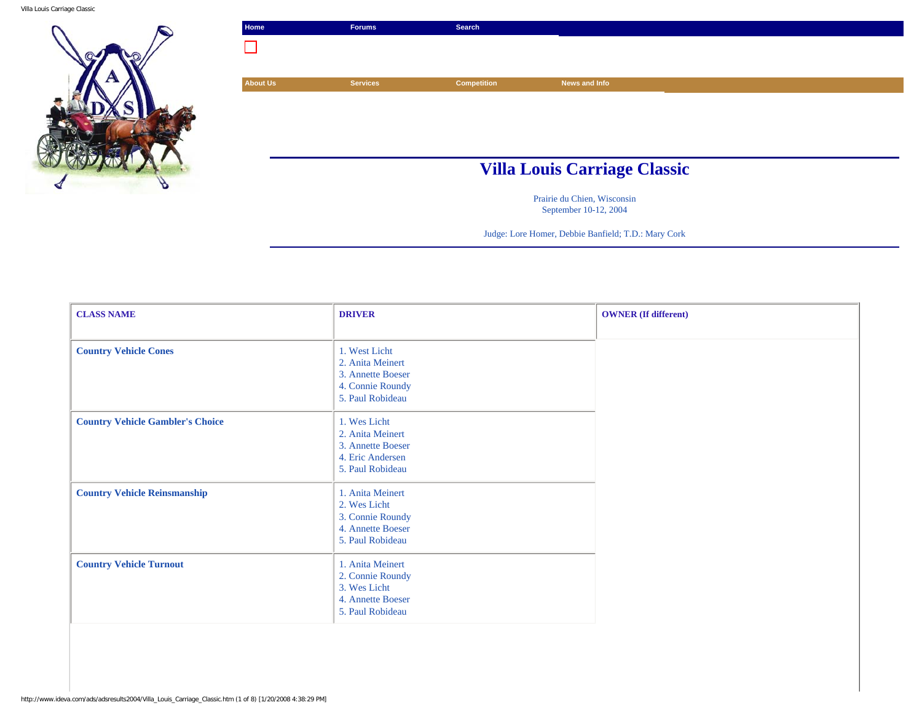Villa Louis Carriage Classic



| Home            | <b>Forums</b>   | <b>Search</b>      |                                     |  |
|-----------------|-----------------|--------------------|-------------------------------------|--|
|                 |                 |                    |                                     |  |
|                 |                 |                    |                                     |  |
| <b>About Us</b> | <b>Services</b> | <b>Competition</b> | News and Info                       |  |
|                 |                 |                    |                                     |  |
|                 |                 |                    |                                     |  |
|                 |                 |                    |                                     |  |
|                 |                 |                    |                                     |  |
|                 |                 |                    | <b>Villa Louis Carriage Classic</b> |  |

Prairie du Chien, Wisconsin September 10-12, 2004

Judge: Lore Homer, Debbie Banfield; T.D.: Mary Cork

| <b>CLASS NAME</b>                       | <b>DRIVER</b>                                                                                  | <b>OWNER</b> (If different) |
|-----------------------------------------|------------------------------------------------------------------------------------------------|-----------------------------|
|                                         |                                                                                                |                             |
| <b>Country Vehicle Cones</b>            | 1. West Licht<br>2. Anita Meinert<br>3. Annette Boeser<br>4. Connie Roundy<br>5. Paul Robideau |                             |
| <b>Country Vehicle Gambler's Choice</b> | 1. Wes Licht<br>2. Anita Meinert<br>3. Annette Boeser<br>4. Eric Andersen<br>5. Paul Robideau  |                             |
| <b>Country Vehicle Reinsmanship</b>     | 1. Anita Meinert<br>2. Wes Licht<br>3. Connie Roundy<br>4. Annette Boeser<br>5. Paul Robideau  |                             |
| <b>Country Vehicle Turnout</b>          | 1. Anita Meinert<br>2. Connie Roundy<br>3. Wes Licht<br>4. Annette Boeser<br>5. Paul Robideau  |                             |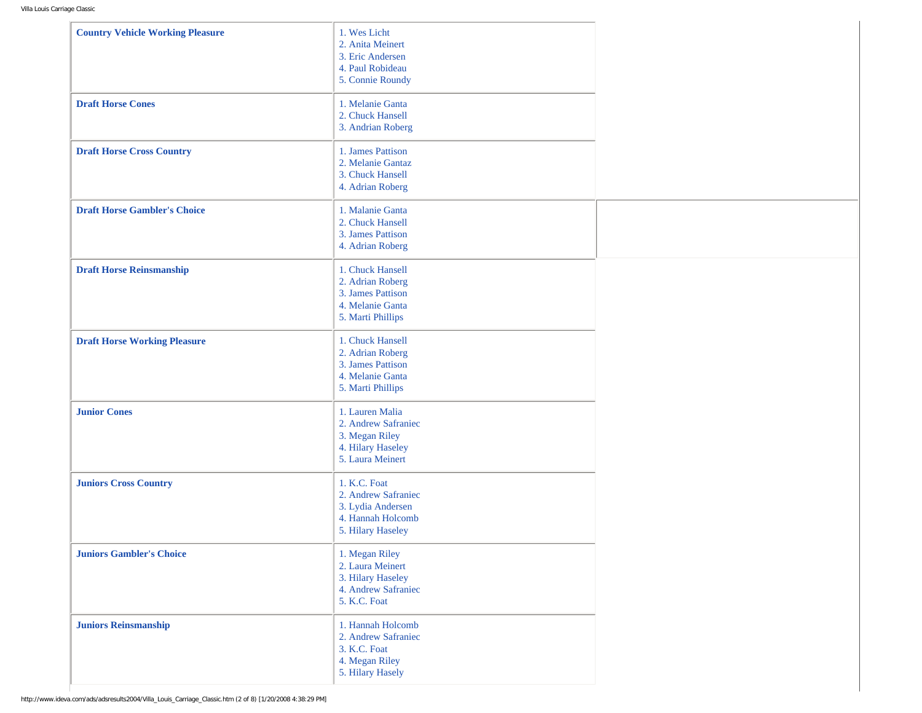| <b>Country Vehicle Working Pleasure</b> | 1. Wes Licht<br>2. Anita Meinert<br>3. Eric Andersen<br>4. Paul Robideau<br>5. Connie Roundy       |  |
|-----------------------------------------|----------------------------------------------------------------------------------------------------|--|
| <b>Draft Horse Cones</b>                | 1. Melanie Ganta<br>2. Chuck Hansell<br>3. Andrian Roberg                                          |  |
| <b>Draft Horse Cross Country</b>        | 1. James Pattison<br>2. Melanie Gantaz<br>3. Chuck Hansell<br>4. Adrian Roberg                     |  |
| <b>Draft Horse Gambler's Choice</b>     | 1. Malanie Ganta<br>2. Chuck Hansell<br>3. James Pattison<br>4. Adrian Roberg                      |  |
| <b>Draft Horse Reinsmanship</b>         | 1. Chuck Hansell<br>2. Adrian Roberg<br>3. James Pattison<br>4. Melanie Ganta<br>5. Marti Phillips |  |
| <b>Draft Horse Working Pleasure</b>     | 1. Chuck Hansell<br>2. Adrian Roberg<br>3. James Pattison<br>4. Melanie Ganta<br>5. Marti Phillips |  |
| <b>Junior Cones</b>                     | 1. Lauren Malia<br>2. Andrew Safraniec<br>3. Megan Riley<br>4. Hilary Haseley<br>5. Laura Meinert  |  |
| <b>Juniors Cross Country</b>            | 1. K.C. Foat<br>2. Andrew Safraniec<br>3. Lydia Andersen<br>4. Hannah Holcomb<br>5. Hilary Haseley |  |
| <b>Juniors Gambler's Choice</b>         | 1. Megan Riley<br>2. Laura Meinert<br>3. Hilary Haseley<br>4. Andrew Safraniec<br>5. K.C. Foat     |  |
| <b>Juniors Reinsmanship</b>             | 1. Hannah Holcomb<br>2. Andrew Safraniec<br>3. K.C. Foat<br>4. Megan Riley<br>5. Hilary Hasely     |  |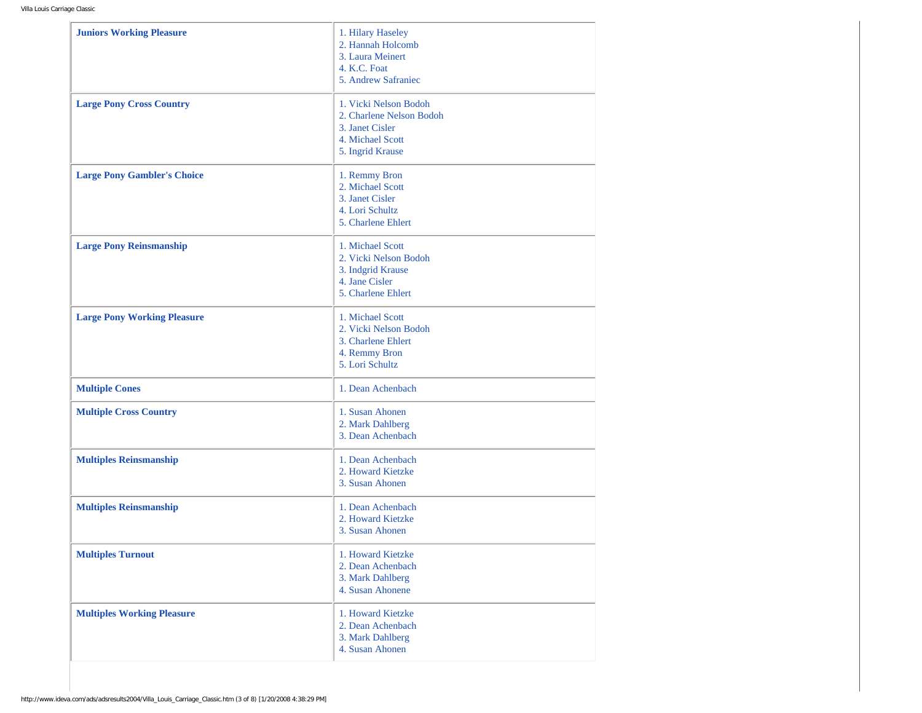| <b>Juniors Working Pleasure</b>    | 1. Hilary Haseley<br>2. Hannah Holcomb<br>3. Laura Meinert<br>4. K.C. Foat<br>5. Andrew Safraniec            |
|------------------------------------|--------------------------------------------------------------------------------------------------------------|
| <b>Large Pony Cross Country</b>    | 1. Vicki Nelson Bodoh<br>2. Charlene Nelson Bodoh<br>3. Janet Cisler<br>4. Michael Scott<br>5. Ingrid Krause |
| <b>Large Pony Gambler's Choice</b> | 1. Remmy Bron<br>2. Michael Scott<br>3. Janet Cisler<br>4. Lori Schultz<br>5. Charlene Ehlert                |
| <b>Large Pony Reinsmanship</b>     | 1. Michael Scott<br>2. Vicki Nelson Bodoh<br>3. Indgrid Krause<br>4. Jane Cisler<br>5. Charlene Ehlert       |
| <b>Large Pony Working Pleasure</b> | 1. Michael Scott<br>2. Vicki Nelson Bodoh<br>3. Charlene Ehlert<br>4. Remmy Bron<br>5. Lori Schultz          |
| <b>Multiple Cones</b>              | 1. Dean Achenbach                                                                                            |
| <b>Multiple Cross Country</b>      | 1. Susan Ahonen<br>2. Mark Dahlberg<br>3. Dean Achenbach                                                     |
| <b>Multiples Reinsmanship</b>      | 1. Dean Achenbach<br>2. Howard Kietzke<br>3. Susan Ahonen                                                    |
| <b>Multiples Reinsmanship</b>      | 1. Dean Achenbach<br>2. Howard Kietzke<br>3. Susan Ahonen                                                    |
| <b>Multiples Turnout</b>           | 1. Howard Kietzke<br>2. Dean Achenbach<br>3. Mark Dahlberg<br>4. Susan Ahonene                               |
| <b>Multiples Working Pleasure</b>  | 1. Howard Kietzke<br>2. Dean Achenbach<br>3. Mark Dahlberg<br>4. Susan Ahonen                                |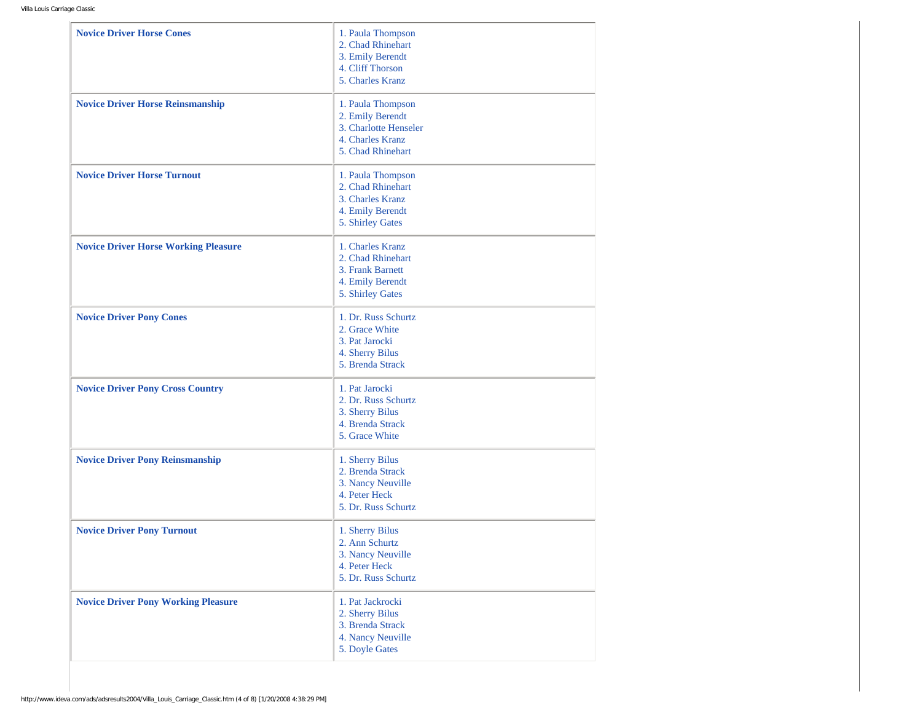| <b>Novice Driver Horse Cones</b>            | 1. Paula Thompson<br>2. Chad Rhinehart<br>3. Emily Berendt<br>4. Cliff Thorson<br>5. Charles Kranz      |
|---------------------------------------------|---------------------------------------------------------------------------------------------------------|
| <b>Novice Driver Horse Reinsmanship</b>     | 1. Paula Thompson<br>2. Emily Berendt<br>3. Charlotte Henseler<br>4. Charles Kranz<br>5. Chad Rhinehart |
| <b>Novice Driver Horse Turnout</b>          | 1. Paula Thompson<br>2. Chad Rhinehart<br>3. Charles Kranz<br>4. Emily Berendt<br>5. Shirley Gates      |
| <b>Novice Driver Horse Working Pleasure</b> | 1. Charles Kranz<br>2. Chad Rhinehart<br>3. Frank Barnett<br>4. Emily Berendt<br>5. Shirley Gates       |
| <b>Novice Driver Pony Cones</b>             | 1. Dr. Russ Schurtz<br>2. Grace White<br>3. Pat Jarocki<br>4. Sherry Bilus<br>5. Brenda Strack          |
| <b>Novice Driver Pony Cross Country</b>     | 1. Pat Jarocki<br>2. Dr. Russ Schurtz<br>3. Sherry Bilus<br>4. Brenda Strack<br>5. Grace White          |
| <b>Novice Driver Pony Reinsmanship</b>      | 1. Sherry Bilus<br>2. Brenda Strack<br>3. Nancy Neuville<br>4. Peter Heck<br>5. Dr. Russ Schurtz        |
| <b>Novice Driver Pony Turnout</b>           | 1. Sherry Bilus<br>2. Ann Schurtz<br>3. Nancy Neuville<br>4. Peter Heck<br>5. Dr. Russ Schurtz          |
| <b>Novice Driver Pony Working Pleasure</b>  | 1. Pat Jackrocki<br>2. Sherry Bilus<br>3. Brenda Strack<br>4. Nancy Neuville<br>5. Doyle Gates          |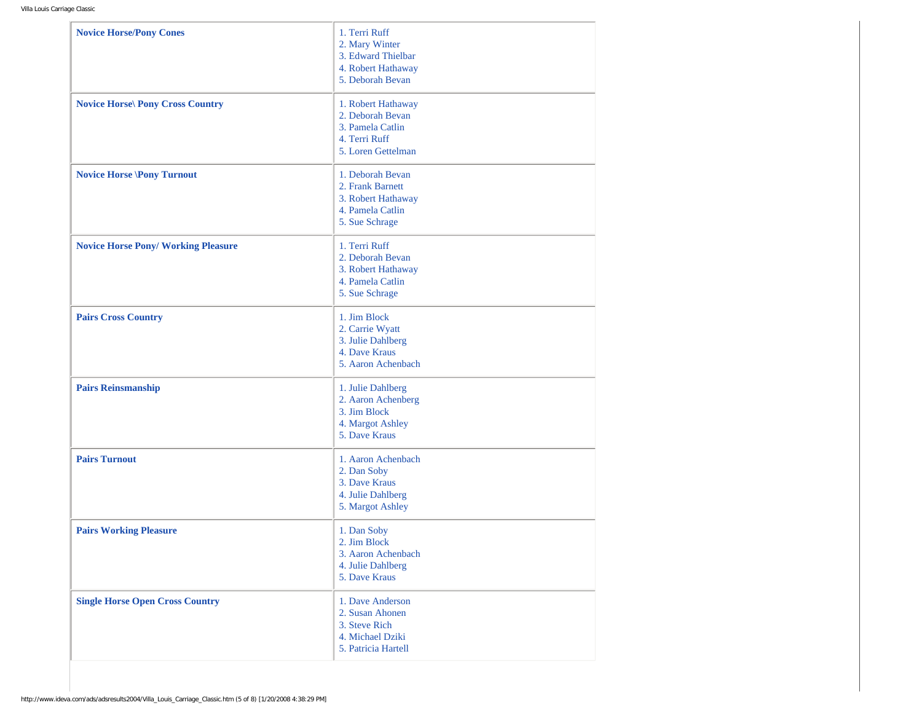| <b>Novice Horse/Pony Cones</b>             | 1. Terri Ruff<br>2. Mary Winter<br>3. Edward Thielbar<br>4. Robert Hathaway<br>5. Deborah Bevan   |
|--------------------------------------------|---------------------------------------------------------------------------------------------------|
| <b>Novice Horse Pony Cross Country</b>     | 1. Robert Hathaway<br>2. Deborah Bevan<br>3. Pamela Catlin<br>4. Terri Ruff<br>5. Loren Gettelman |
| <b>Novice Horse \Pony Turnout</b>          | 1. Deborah Bevan<br>2. Frank Barnett<br>3. Robert Hathaway<br>4. Pamela Catlin<br>5. Sue Schrage  |
| <b>Novice Horse Pony/ Working Pleasure</b> | 1. Terri Ruff<br>2. Deborah Bevan<br>3. Robert Hathaway<br>4. Pamela Catlin<br>5. Sue Schrage     |
| <b>Pairs Cross Country</b>                 | 1. Jim Block<br>2. Carrie Wyatt<br>3. Julie Dahlberg<br>4. Dave Kraus<br>5. Aaron Achenbach       |
| <b>Pairs Reinsmanship</b>                  | 1. Julie Dahlberg<br>2. Aaron Achenberg<br>3. Jim Block<br>4. Margot Ashley<br>5. Dave Kraus      |
| <b>Pairs Turnout</b>                       | 1. Aaron Achenbach<br>2. Dan Soby<br>3. Dave Kraus<br>4. Julie Dahlberg<br>5. Margot Ashley       |
| <b>Pairs Working Pleasure</b>              | 1. Dan Soby<br>2. Jim Block<br>3. Aaron Achenbach<br>4. Julie Dahlberg<br>5. Dave Kraus           |
| <b>Single Horse Open Cross Country</b>     | 1. Dave Anderson<br>2. Susan Ahonen<br>3. Steve Rich<br>4. Michael Dziki<br>5. Patricia Hartell   |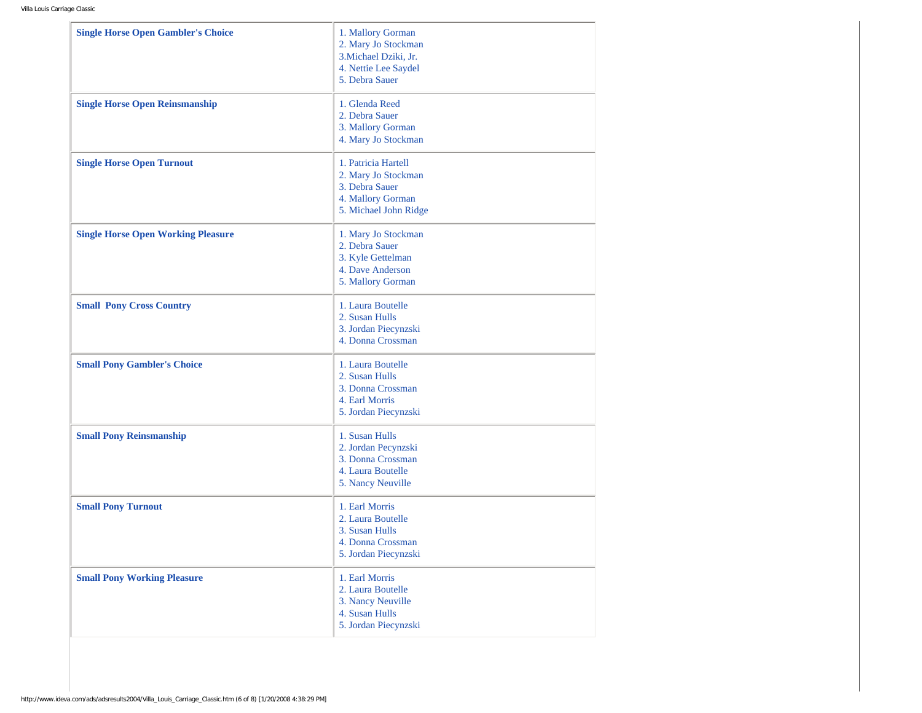| <b>Single Horse Open Gambler's Choice</b> | 1. Mallory Gorman<br>2. Mary Jo Stockman<br>3. Michael Dziki, Jr.<br>4. Nettie Lee Saydel<br>5. Debra Sauer |
|-------------------------------------------|-------------------------------------------------------------------------------------------------------------|
| <b>Single Horse Open Reinsmanship</b>     | 1. Glenda Reed<br>2. Debra Sauer<br>3. Mallory Gorman<br>4. Mary Jo Stockman                                |
| <b>Single Horse Open Turnout</b>          | 1. Patricia Hartell<br>2. Mary Jo Stockman<br>3. Debra Sauer<br>4. Mallory Gorman<br>5. Michael John Ridge  |
| <b>Single Horse Open Working Pleasure</b> | 1. Mary Jo Stockman<br>2. Debra Sauer<br>3. Kyle Gettelman<br>4. Dave Anderson<br>5. Mallory Gorman         |
| <b>Small Pony Cross Country</b>           | 1. Laura Boutelle<br>2. Susan Hulls<br>3. Jordan Piecynzski<br>4. Donna Crossman                            |
| <b>Small Pony Gambler's Choice</b>        | 1. Laura Boutelle<br>2. Susan Hulls<br>3. Donna Crossman<br>4. Earl Morris<br>5. Jordan Piecynzski          |
| <b>Small Pony Reinsmanship</b>            | 1. Susan Hulls<br>2. Jordan Pecynzski<br>3. Donna Crossman<br>4. Laura Boutelle<br>5. Nancy Neuville        |
| <b>Small Pony Turnout</b>                 | 1. Earl Morris<br>2. Laura Boutelle<br>3. Susan Hulls<br>4. Donna Crossman<br>5. Jordan Piecynzski          |
| <b>Small Pony Working Pleasure</b>        | 1. Earl Morris<br>2. Laura Boutelle<br>3. Nancy Neuville<br>4. Susan Hulls<br>5. Jordan Piecynzski          |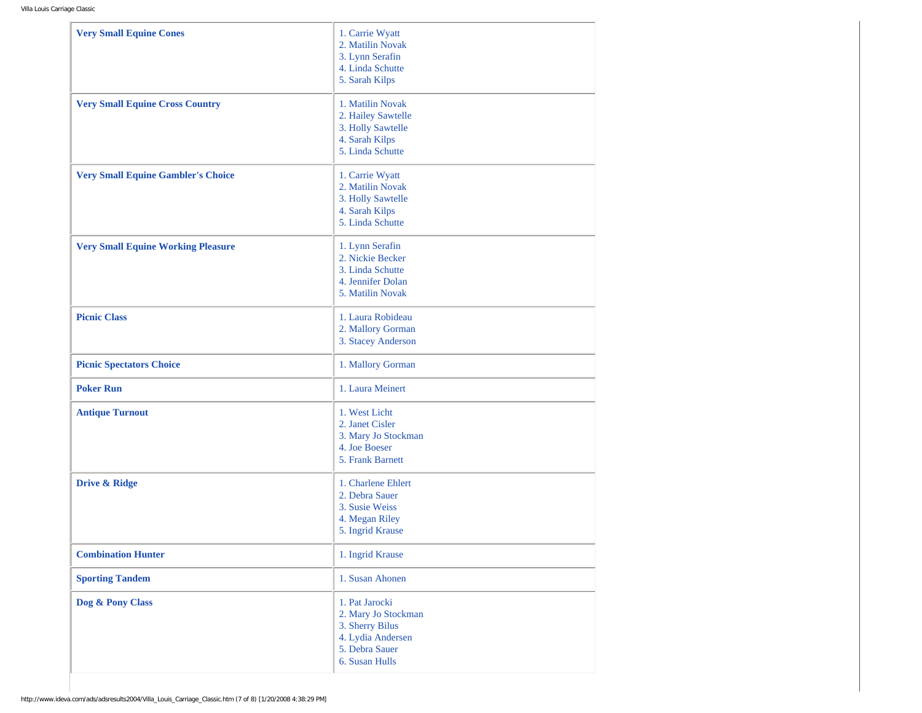| <b>Very Small Equine Cones</b>            | 1. Carrie Wyatt<br>2. Matilin Novak<br>3. Lynn Serafin<br>4. Linda Schutte<br>5. Sarah Kilps                      |
|-------------------------------------------|-------------------------------------------------------------------------------------------------------------------|
| <b>Very Small Equine Cross Country</b>    | 1. Matilin Novak<br>2. Hailey Sawtelle<br>3. Holly Sawtelle<br>4. Sarah Kilps<br>5. Linda Schutte                 |
| <b>Very Small Equine Gambler's Choice</b> | 1. Carrie Wyatt<br>2. Matilin Novak<br>3. Holly Sawtelle<br>4. Sarah Kilps<br>5. Linda Schutte                    |
| <b>Very Small Equine Working Pleasure</b> | 1. Lynn Serafin<br>2. Nickie Becker<br>3. Linda Schutte<br>4. Jennifer Dolan<br>5. Matilin Novak                  |
| <b>Picnic Class</b>                       | 1. Laura Robideau<br>2. Mallory Gorman<br>3. Stacey Anderson                                                      |
| <b>Picnic Spectators Choice</b>           | 1. Mallory Gorman                                                                                                 |
| <b>Poker Run</b>                          | 1. Laura Meinert                                                                                                  |
| <b>Antique Turnout</b>                    | 1. West Licht<br>2. Janet Cisler<br>3. Mary Jo Stockman<br>4. Joe Boeser<br>5. Frank Barnett                      |
| Drive & Ridge                             | 1. Charlene Ehlert<br>2. Debra Sauer<br>3. Susie Weiss<br>4. Megan Riley<br>5. Ingrid Krause                      |
| <b>Combination Hunter</b>                 | 1. Ingrid Krause                                                                                                  |
| <b>Sporting Tandem</b>                    | 1. Susan Ahonen                                                                                                   |
| Dog & Pony Class                          | 1. Pat Jarocki<br>2. Mary Jo Stockman<br>3. Sherry Bilus<br>4. Lydia Andersen<br>5. Debra Sauer<br>6. Susan Hulls |